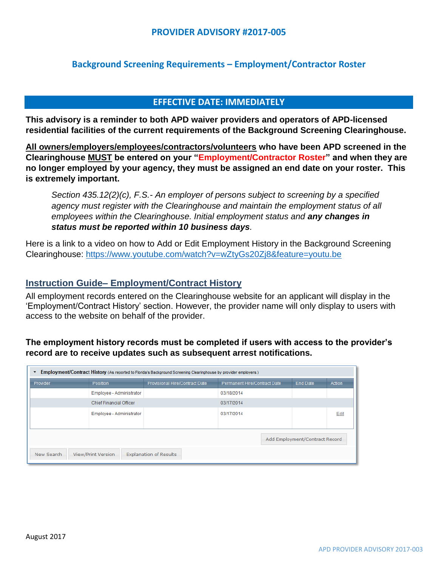### **PROVIDER ADVISORY #2017-005**

# **Background Screening Requirements – Employment/Contractor Roster**

#### **EFFECTIVE DATE: IMMEDIATELY**

**This advisory is a reminder to both APD waiver providers and operators of APD-licensed residential facilities of the current requirements of the Background Screening Clearinghouse.**

**All owners/employers/employees/contractors/volunteers who have been APD screened in the Clearinghouse MUST be entered on your "Employment/Contractor Roster" and when they are no longer employed by your agency, they must be assigned an end date on your roster. This is extremely important.**

*Section 435.12(2)(c), F.S.- An employer of persons subject to screening by a specified agency must register with the Clearinghouse and maintain the employment status of all employees within the Clearinghouse. Initial employment status and any changes in status must be reported within 10 business days.*

Here is a link to a video on how to Add or Edit Employment History in the Background Screening Clearinghouse:<https://www.youtube.com/watch?v=wZtyGs20Zj8&feature=youtu.be>

#### **Instruction Guide– Employment/Contract History**

All employment records entered on the Clearinghouse website for an applicant will display in the 'Employment/Contract History' section. However, the provider name will only display to users with access to the website on behalf of the provider.

## **The employment history records must be completed if users with access to the provider's record are to receive updates such as subsequent arrest notifications.**

| Employment/Contract History (As reported to Florida's Background Screening Clearinghouse by provider employers.)<br>$\overline{\phantom{a}}$ |                                              |                                |                              |                 |        |
|----------------------------------------------------------------------------------------------------------------------------------------------|----------------------------------------------|--------------------------------|------------------------------|-----------------|--------|
| Provider                                                                                                                                     | Position                                     | Provisional Hire/Contract Date | Permanent Hire/Contract Date | <b>End Date</b> | Action |
|                                                                                                                                              | Employee - Administrator                     |                                | 03/18/2014                   |                 |        |
|                                                                                                                                              | <b>Chief Financial Officer</b><br>03/17/2014 |                                |                              |                 |        |
|                                                                                                                                              | Employee - Administrator                     |                                | 03/17/2014                   |                 | Edit   |
|                                                                                                                                              |                                              |                                |                              |                 |        |
| Add Employment/Contract Record                                                                                                               |                                              |                                |                              |                 |        |
| <b>Explanation of Results</b><br>New Search<br><b>View/Print Version</b>                                                                     |                                              |                                |                              |                 |        |